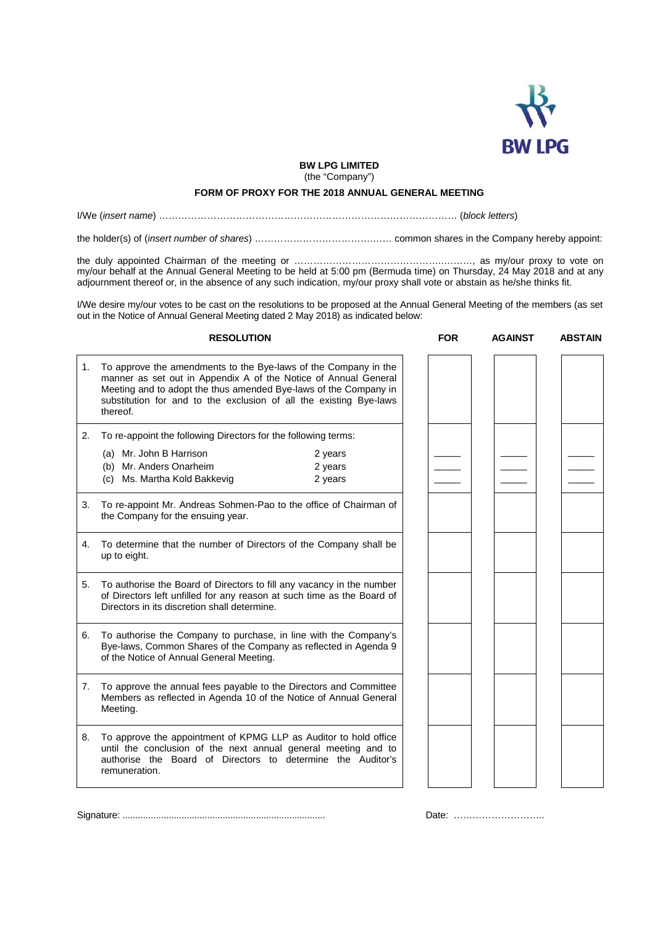

**BW LPG LIMITED**  (the "Company")

## **FORM OF PROXY FOR THE 2018 ANNUAL GENERAL MEETING**

I/We (*insert name*) ………………………………………………………………………………… (*block letters*)

the holder(s) of (*insert number of shares*) ……………………………….…… common shares in the Company hereby appoint:

the duly appointed Chairman of the meeting or ………………………………………..………, as my/our proxy to vote on my/our behalf at the Annual General Meeting to be held at 5:00 pm (Bermuda time) on Thursday, 24 May 2018 and at any adjournment thereof or, in the absence of any such indication, my/our proxy shall vote or abstain as he/she thinks fit.

I/We desire my/our votes to be cast on the resolutions to be proposed at the Annual General Meeting of the members (as set out in the Notice of Annual General Meeting dated 2 May 2018) as indicated below:

|    | <b>RESOLUTION</b>                                                                                                                                                                                                                                                                        | <b>FOR</b> | <b>AGAINST</b> | <b>ABSTAIN</b> |
|----|------------------------------------------------------------------------------------------------------------------------------------------------------------------------------------------------------------------------------------------------------------------------------------------|------------|----------------|----------------|
| 1. | To approve the amendments to the Bye-laws of the Company in the<br>manner as set out in Appendix A of the Notice of Annual General<br>Meeting and to adopt the thus amended Bye-laws of the Company in<br>substitution for and to the exclusion of all the existing Bye-laws<br>thereof. |            |                |                |
| 2. | To re-appoint the following Directors for the following terms:                                                                                                                                                                                                                           |            |                |                |
|    | (a) Mr. John B Harrison<br>2 years<br>(b) Mr. Anders Onarheim<br>2 years<br>(c) Ms. Martha Kold Bakkevig<br>2 years                                                                                                                                                                      |            |                |                |
| 3. | To re-appoint Mr. Andreas Sohmen-Pao to the office of Chairman of<br>the Company for the ensuing year.                                                                                                                                                                                   |            |                |                |
| 4. | To determine that the number of Directors of the Company shall be<br>up to eight.                                                                                                                                                                                                        |            |                |                |
| 5. | To authorise the Board of Directors to fill any vacancy in the number<br>of Directors left unfilled for any reason at such time as the Board of<br>Directors in its discretion shall determine.                                                                                          |            |                |                |
| 6. | To authorise the Company to purchase, in line with the Company's<br>Bye-laws, Common Shares of the Company as reflected in Agenda 9<br>of the Notice of Annual General Meeting.                                                                                                          |            |                |                |
| 7. | To approve the annual fees payable to the Directors and Committee<br>Members as reflected in Agenda 10 of the Notice of Annual General<br>Meeting.                                                                                                                                       |            |                |                |
| 8. | To approve the appointment of KPMG LLP as Auditor to hold office<br>until the conclusion of the next annual general meeting and to<br>authorise the Board of Directors to determine the Auditor's<br>remuneration.                                                                       |            |                |                |